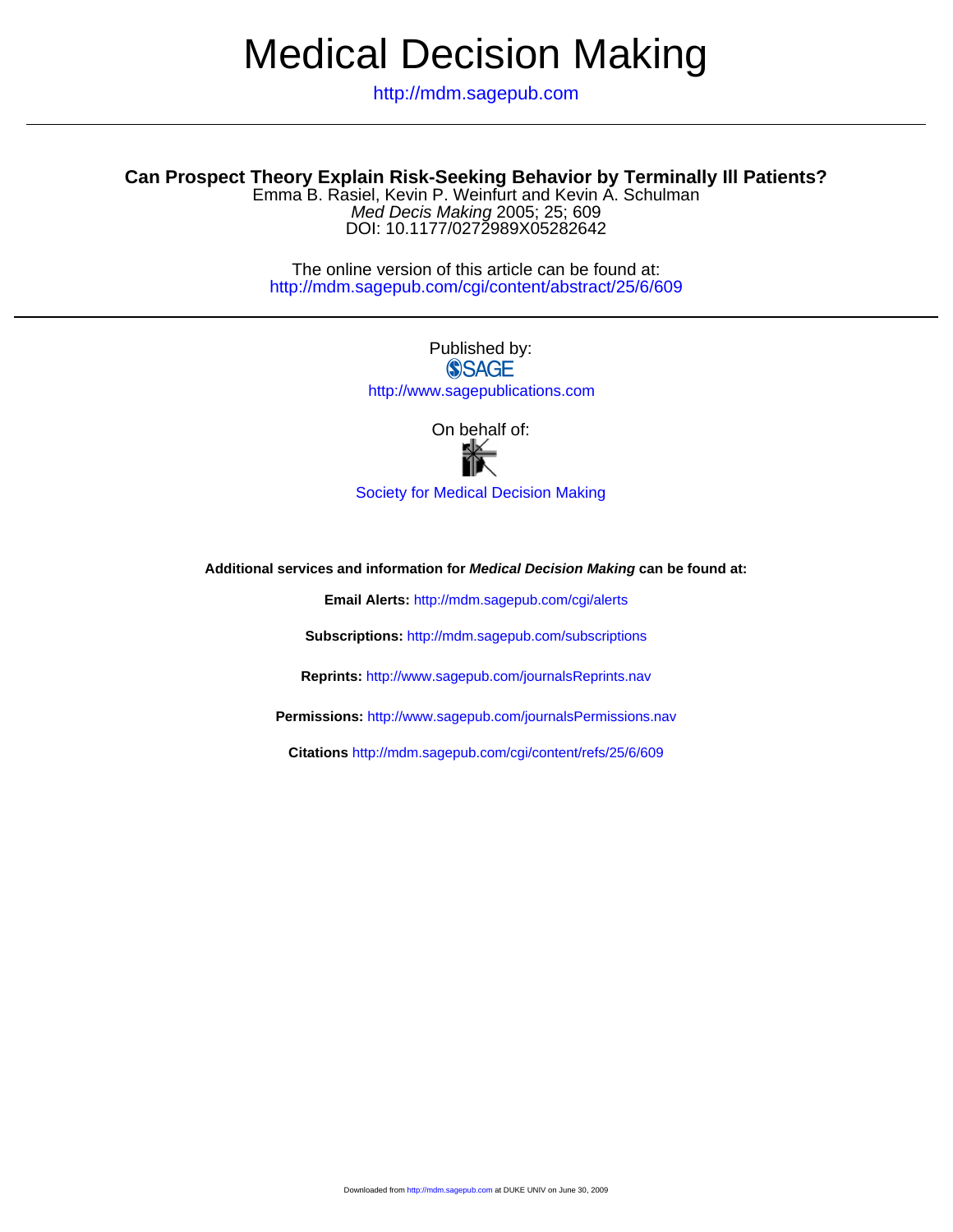# Medical Decision Making

http://mdm.sagepub.com

### **Can Prospect Theory Explain Risk-Seeking Behavior by Terminally Ill Patients?**

DOI: 10.1177/0272989X05282642 Med Decis Making 2005; 25; 609 Emma B. Rasiel, Kevin P. Weinfurt and Kevin A. Schulman

> http://mdm.sagepub.com/cgi/content/abstract/25/6/609 The online version of this article can be found at:

> > Published by: **SSAGE** http://www.sagepublications.com

> > > On behalf of:



[Society for Medical Decision Making](http://www.gwu.edu/~smdm)

**Additional services and information for Medical Decision Making can be found at:**

**Email Alerts:** <http://mdm.sagepub.com/cgi/alerts>

**Subscriptions:** <http://mdm.sagepub.com/subscriptions>

**Reprints:** <http://www.sagepub.com/journalsReprints.nav>

**Permissions:** <http://www.sagepub.com/journalsPermissions.nav>

**Citations** <http://mdm.sagepub.com/cgi/content/refs/25/6/609>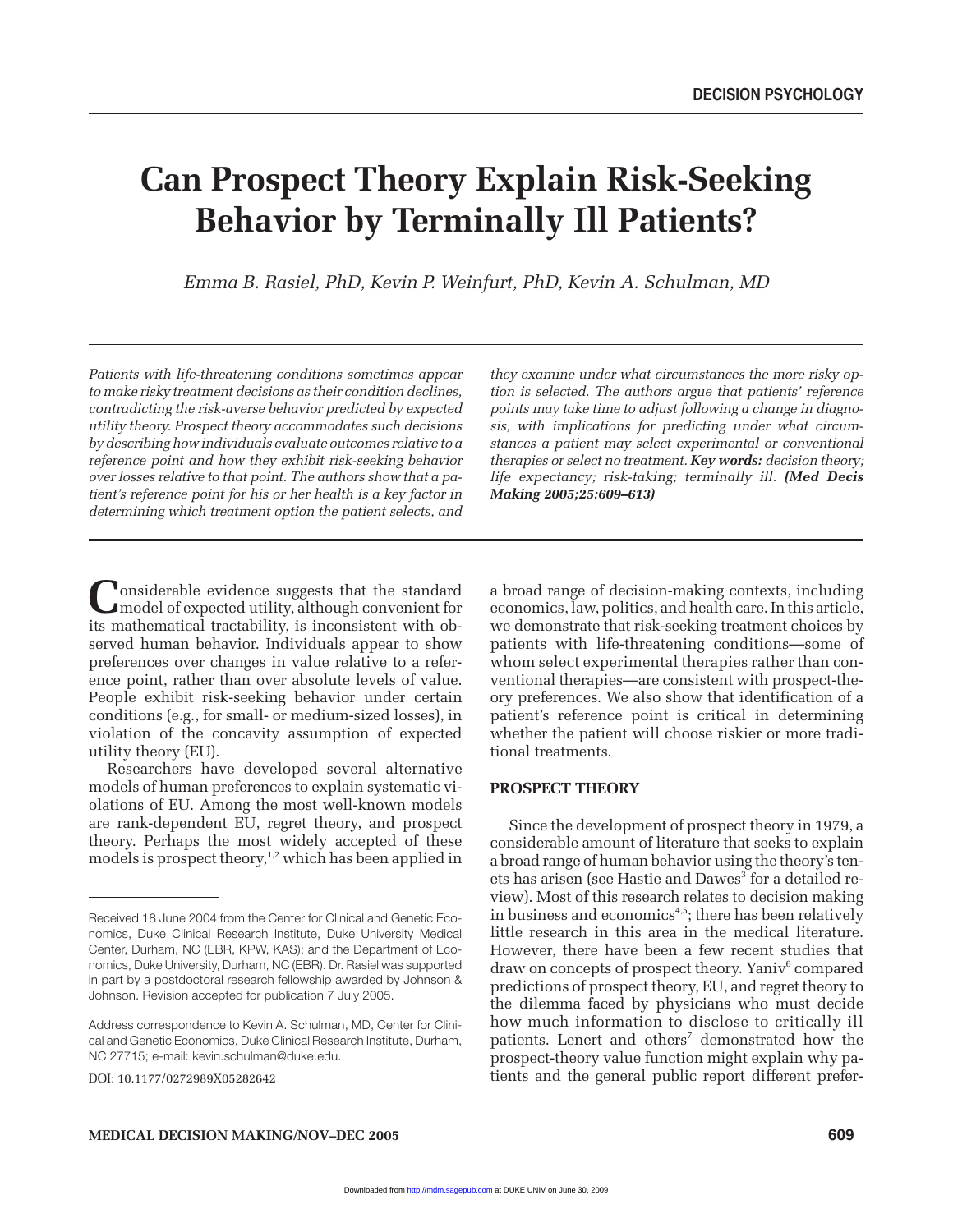## **Can Prospect Theory Explain Risk-Seeking Behavior by Terminally Ill Patients?**

*Emma B. Rasiel, PhD, Kevin P. Weinfurt, PhD, Kevin A. Schulman, MD*

*Patients with life-threatening conditions sometimes appear to make risky treatment decisions as their condition declines, contradicting the risk-averse behavior predicted by expected utility theory. Prospect theory accommodates such decisions by describing how individuals evaluate outcomes relative to a reference point and how they exhibit risk-seeking behavior over losses relative to that point. The authors show that a patient's reference point for his or her health is a key factor in determining which treatment option the patient selects, and*

Considerable evidence suggests that the standard<br>
model of expected utility, although convenient for<br>
its method in the stability is inconsistent with sh its mathematical tractability, is inconsistent with observed human behavior. Individuals appear to show preferences over changes in value relative to a reference point, rather than over absolute levels of value. People exhibit risk-seeking behavior under certain conditions (e.g., for small- or medium-sized losses), in violation of the concavity assumption of expected utility theory (EU).

Researchers have developed several alternative models of human preferences to explain systematic violations of EU. Among the most well-known models are rank-dependent EU, regret theory, and prospect theory. Perhaps the most widely accepted of these models is prospect theory, $1,2$  which has been applied in

DOI: 10.1177/0272989X05282642

*they examine under what circumstances the more risky option is selected. The authors argue that patients' reference points may take time to adjust following a change in diagnosis, with implications for predicting under what circumstances a patient may select experimental or conventional therapies or select no treatment. Key words: decision theory; life expectancy; risk-taking; terminally ill. (Med Decis Making 2005;25:609–613)*

a broad range of decision-making contexts, including economics, law, politics, and health care. In this article, we demonstrate that risk-seeking treatment choices by patients with life-threatening conditions—some of whom select experimental therapies rather than conventional therapies—are consistent with prospect-theory preferences. We also show that identification of a patient's reference point is critical in determining whether the patient will choose riskier or more traditional treatments.

#### **PROSPECT THEORY**

Since the development of prospect theory in 1979, a considerable amount of literature that seeks to explain a broad range of human behavior using the theory's tenets has arisen (see Hastie and Dawes<sup>3</sup> for a detailed review). Most of this research relates to decision making in business and economics<sup>4,5</sup>; there has been relatively little research in this area in the medical literature. However, there have been a few recent studies that draw on concepts of prospect theory. Yaniv<sup>6</sup> compared predictions of prospect theory, EU, and regret theory to the dilemma faced by physicians who must decide how much information to disclose to critically ill patients. Lenert and others<sup>7</sup> demonstrated how the prospect-theory value function might explain why patients and the general public report different prefer-

Received 18 June 2004 from the Center for Clinical and Genetic Economics, Duke Clinical Research Institute, Duke University Medical Center, Durham, NC (EBR, KPW, KAS); and the Department of Economics, Duke University, Durham, NC (EBR). Dr. Rasiel was supported in part by a postdoctoral research fellowship awarded by Johnson & Johnson. Revision accepted for publication 7 July 2005.

Address correspondence to Kevin A. Schulman, MD, Center for Clinical and Genetic Economics, Duke Clinical Research Institute, Durham, NC 27715; e-mail: kevin.schulman@duke.edu.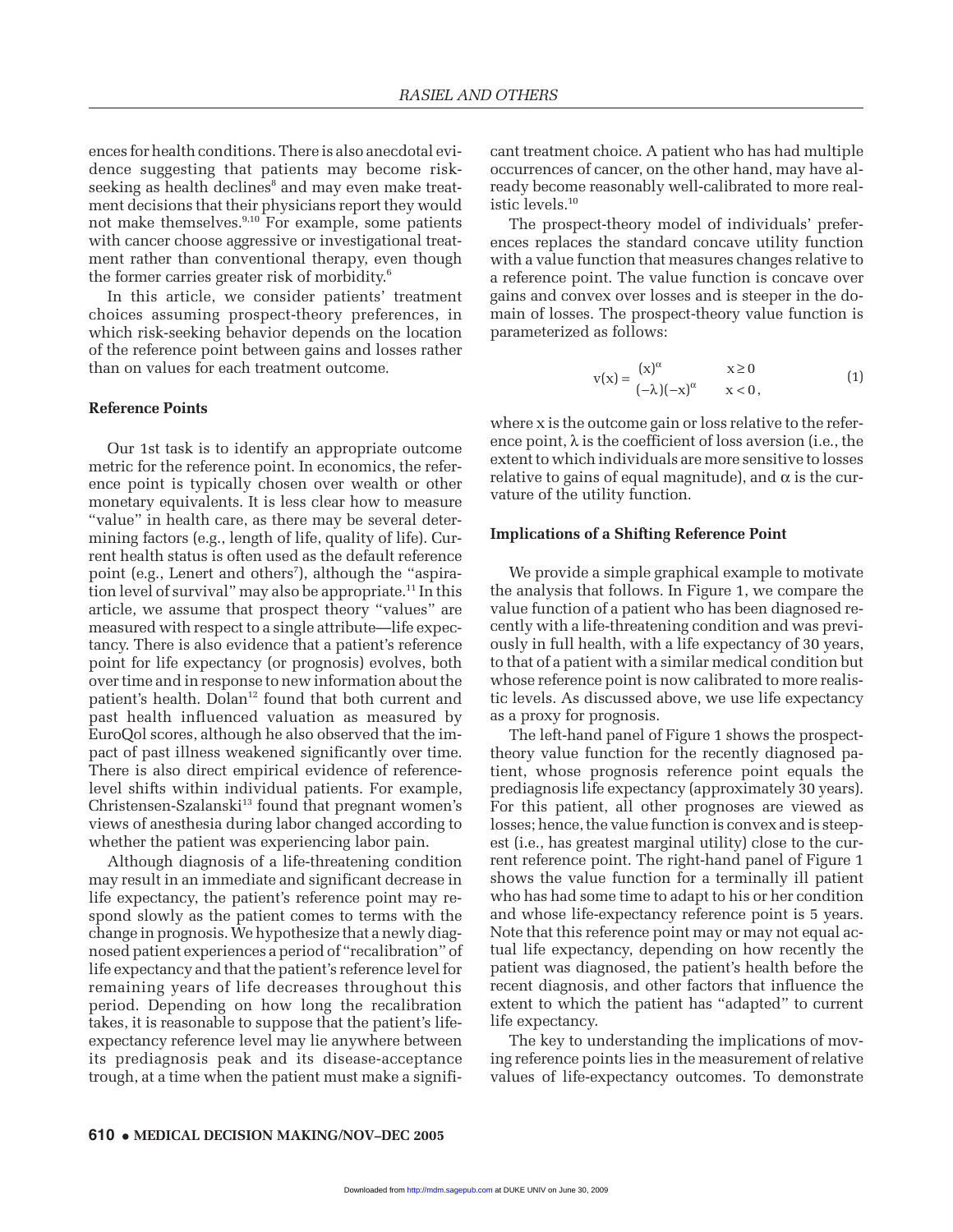ences for health conditions. There is also anecdotal evidence suggesting that patients may become riskseeking as health declines<sup>8</sup> and may even make treatment decisions that their physicians report they would not make themselves.<sup>9,10</sup> For example, some patients with cancer choose aggressive or investigational treatment rather than conventional therapy, even though the former carries greater risk of morbidity.<sup>6</sup>

In this article, we consider patients' treatment choices assuming prospect-theory preferences, in which risk-seeking behavior depends on the location of the reference point between gains and losses rather than on values for each treatment outcome.

#### **Reference Points**

Our 1st task is to identify an appropriate outcome metric for the reference point. In economics, the reference point is typically chosen over wealth or other monetary equivalents. It is less clear how to measure "value" in health care, as there may be several determining factors (e.g., length of life, quality of life). Current health status is often used as the default reference point (e.g., Lenert and others<sup>7</sup>), although the "aspiration level of survival" may also be appropriate.<sup>11</sup> In this article, we assume that prospect theory "values" are measured with respect to a single attribute—life expectancy. There is also evidence that a patient's reference point for life expectancy (or prognosis) evolves, both over time and in response to new information about the patient's health. Dolan<sup>12</sup> found that both current and past health influenced valuation as measured by EuroQol scores, although he also observed that the impact of past illness weakened significantly over time. There is also direct empirical evidence of referencelevel shifts within individual patients. For example, Christensen-Szalanski<sup>13</sup> found that pregnant women's views of anesthesia during labor changed according to whether the patient was experiencing labor pain.

Although diagnosis of a life-threatening condition may result in an immediate and significant decrease in life expectancy, the patient's reference point may respond slowly as the patient comes to terms with the change in prognosis.We hypothesize that a newly diagnosed patient experiences a period of "recalibration" of life expectancy and that the patient's reference level for remaining years of life decreases throughout this period. Depending on how long the recalibration takes, it is reasonable to suppose that the patient's lifeexpectancy reference level may lie anywhere between its prediagnosis peak and its disease-acceptance trough, at a time when the patient must make a significant treatment choice. A patient who has had multiple occurrences of cancer, on the other hand, may have already become reasonably well-calibrated to more realistic levels.<sup>10</sup>

The prospect-theory model of individuals' preferences replaces the standard concave utility function with a value function that measures changes relative to a reference point. The value function is concave over gains and convex over losses and is steeper in the domain of losses. The prospect-theory value function is parameterized as follows:

$$
v(x) = \begin{cases} (x)^{\alpha} & x \ge 0 \\ (-\lambda)(-x)^{\alpha} & x < 0, \end{cases}
$$
 (1)

where x is the outcome gain or loss relative to the reference point,  $\lambda$  is the coefficient of loss aversion (i.e., the extent to which individuals are more sensitive to losses relative to gains of equal magnitude), and  $\alpha$  is the curvature of the utility function.

#### **Implications of a Shifting Reference Point**

We provide a simple graphical example to motivate the analysis that follows. In Figure 1, we compare the value function of a patient who has been diagnosed recently with a life-threatening condition and was previously in full health, with a life expectancy of 30 years, to that of a patient with a similar medical condition but whose reference point is now calibrated to more realistic levels. As discussed above, we use life expectancy as a proxy for prognosis.

The left-hand panel of Figure 1 shows the prospecttheory value function for the recently diagnosed patient, whose prognosis reference point equals the prediagnosis life expectancy (approximately 30 years). For this patient, all other prognoses are viewed as losses; hence, the value function is convex and is steepest (i.e., has greatest marginal utility) close to the current reference point. The right-hand panel of Figure 1 shows the value function for a terminally ill patient who has had some time to adapt to his or her condition and whose life-expectancy reference point is 5 years. Note that this reference point may or may not equal actual life expectancy, depending on how recently the patient was diagnosed, the patient's health before the recent diagnosis, and other factors that influence the extent to which the patient has "adapted" to current life expectancy.

The key to understanding the implications of moving reference points lies in the measurement of relative values of life-expectancy outcomes. To demonstrate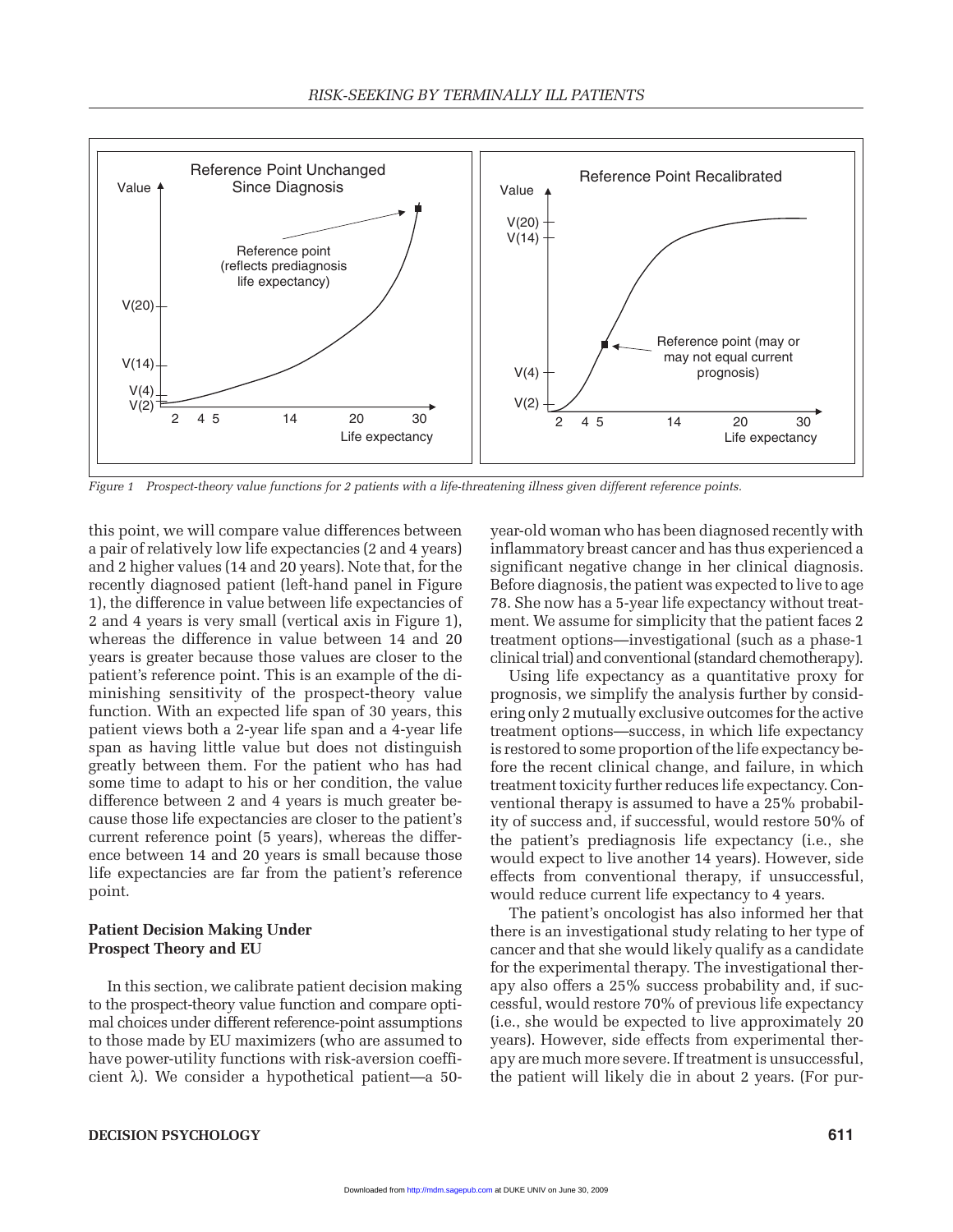

*Figure 1 Prospect-theory value functions for 2 patients with a life-threatening illness given different reference points.*

this point, we will compare value differences between a pair of relatively low life expectancies (2 and 4 years) and 2 higher values (14 and 20 years). Note that, for the recently diagnosed patient (left-hand panel in Figure 1), the difference in value between life expectancies of 2 and 4 years is very small (vertical axis in Figure 1), whereas the difference in value between 14 and 20 years is greater because those values are closer to the patient's reference point. This is an example of the diminishing sensitivity of the prospect-theory value function. With an expected life span of 30 years, this patient views both a 2-year life span and a 4-year life span as having little value but does not distinguish greatly between them. For the patient who has had some time to adapt to his or her condition, the value difference between 2 and 4 years is much greater because those life expectancies are closer to the patient's current reference point (5 years), whereas the difference between 14 and 20 years is small because those life expectancies are far from the patient's reference point.

#### **Patient Decision Making Under Prospect Theory and EU**

In this section, we calibrate patient decision making to the prospect-theory value function and compare optimal choices under different reference-point assumptions to those made by EU maximizers (who are assumed to have power-utility functions with risk-aversion coefficient λ). We consider a hypothetical patient—a 50year-old woman who has been diagnosed recently with inflammatory breast cancer and has thus experienced a significant negative change in her clinical diagnosis. Before diagnosis, the patient was expected to live to age 78. She now has a 5-year life expectancy without treatment. We assume for simplicity that the patient faces 2 treatment options—investigational (such as a phase-1 clinical trial) and conventional (standard chemotherapy).

Using life expectancy as a quantitative proxy for prognosis, we simplify the analysis further by considering only 2 mutually exclusive outcomes for the active treatment options—success, in which life expectancy is restored to some proportion of the life expectancy before the recent clinical change, and failure, in which treatment toxicity further reduces life expectancy. Conventional therapy is assumed to have a 25% probability of success and, if successful, would restore 50% of the patient's prediagnosis life expectancy (i.e., she would expect to live another 14 years). However, side effects from conventional therapy, if unsuccessful, would reduce current life expectancy to 4 years.

The patient's oncologist has also informed her that there is an investigational study relating to her type of cancer and that she would likely qualify as a candidate for the experimental therapy. The investigational therapy also offers a 25% success probability and, if successful, would restore 70% of previous life expectancy (i.e., she would be expected to live approximately 20 years). However, side effects from experimental therapy are much more severe. If treatment is unsuccessful, the patient will likely die in about 2 years. (For pur-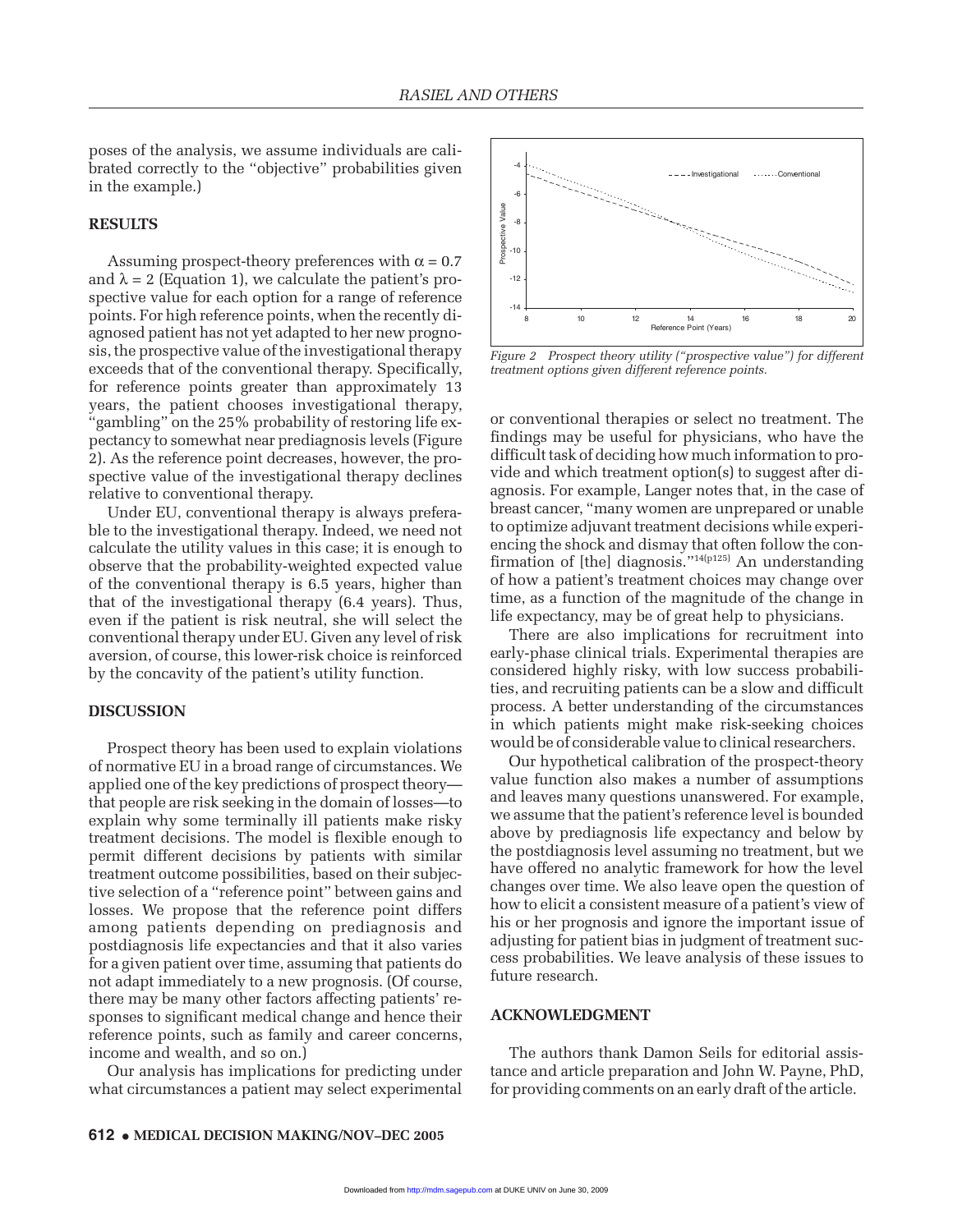poses of the analysis, we assume individuals are calibrated correctly to the "objective" probabilities given in the example.)

#### **RESULTS**

Assuming prospect-theory preferences with  $\alpha = 0.7$ and  $\lambda = 2$  (Equation 1), we calculate the patient's prospective value for each option for a range of reference points. For high reference points, when the recently diagnosed patient has not yet adapted to her new prognosis, the prospective value of the investigational therapy exceeds that of the conventional therapy. Specifically, for reference points greater than approximately 13 years, the patient chooses investigational therapy, "gambling" on the 25% probability of restoring life expectancy to somewhat near prediagnosis levels (Figure 2). As the reference point decreases, however, the prospective value of the investigational therapy declines relative to conventional therapy.

Under EU, conventional therapy is always preferable to the investigational therapy. Indeed, we need not calculate the utility values in this case; it is enough to observe that the probability-weighted expected value of the conventional therapy is 6.5 years, higher than that of the investigational therapy (6.4 years). Thus, even if the patient is risk neutral, she will select the conventional therapy under EU. Given any level of risk aversion, of course, this lower-risk choice is reinforced by the concavity of the patient's utility function.

#### **DISCUSSION**

Prospect theory has been used to explain violations of normative EU in a broad range of circumstances. We applied one of the key predictions of prospect theory that people are risk seeking in the domain of losses—to explain why some terminally ill patients make risky treatment decisions. The model is flexible enough to permit different decisions by patients with similar treatment outcome possibilities, based on their subjective selection of a "reference point" between gains and losses. We propose that the reference point differs among patients depending on prediagnosis and postdiagnosis life expectancies and that it also varies for a given patient over time, assuming that patients do not adapt immediately to a new prognosis. (Of course, there may be many other factors affecting patients' responses to significant medical change and hence their reference points, such as family and career concerns, income and wealth, and so on.)

Our analysis has implications for predicting under what circumstances a patient may select experimental



*Figure 2 Prospect theory utility ("prospective value") for different treatment options given different reference points.*

or conventional therapies or select no treatment. The findings may be useful for physicians, who have the difficult task of deciding how much information to provide and which treatment option(s) to suggest after diagnosis. For example, Langer notes that, in the case of breast cancer, "many women are unprepared or unable to optimize adjuvant treatment decisions while experiencing the shock and dismay that often follow the confirmation of [the] diagnosis."<sup>14(p125)</sup> An understanding of how a patient's treatment choices may change over time, as a function of the magnitude of the change in life expectancy, may be of great help to physicians.

There are also implications for recruitment into early-phase clinical trials. Experimental therapies are considered highly risky, with low success probabilities, and recruiting patients can be a slow and difficult process. A better understanding of the circumstances in which patients might make risk-seeking choices would be of considerable value to clinical researchers.

Our hypothetical calibration of the prospect-theory value function also makes a number of assumptions and leaves many questions unanswered. For example, we assume that the patient's reference level is bounded above by prediagnosis life expectancy and below by the postdiagnosis level assuming no treatment, but we have offered no analytic framework for how the level changes over time. We also leave open the question of how to elicit a consistent measure of a patient's view of his or her prognosis and ignore the important issue of adjusting for patient bias in judgment of treatment success probabilities. We leave analysis of these issues to future research.

#### **ACKNOWLEDGMENT**

The authors thank Damon Seils for editorial assistance and article preparation and John W. Payne, PhD, for providing comments on an early draft of the article.